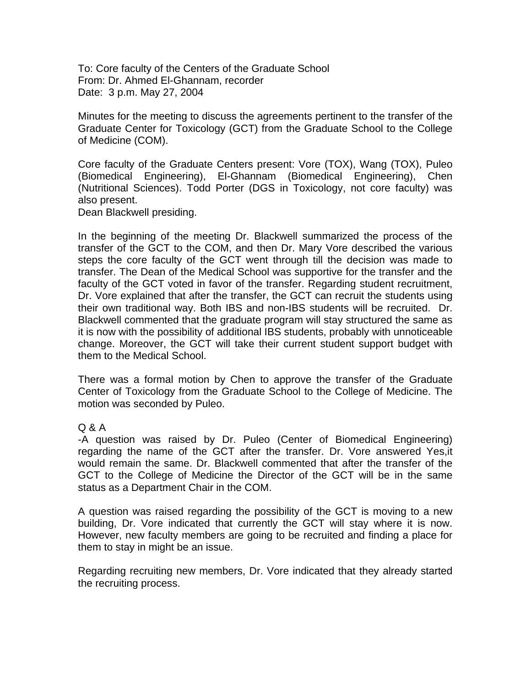To: Core faculty of the Centers of the Graduate School From: Dr. Ahmed El-Ghannam, recorder Date: 3 p.m. May 27, 2004

Minutes for the meeting to discuss the agreements pertinent to the transfer of the Graduate Center for Toxicology (GCT) from the Graduate School to the College of Medicine (COM).

Core faculty of the Graduate Centers present: Vore (TOX), Wang (TOX), Puleo (Biomedical Engineering), El-Ghannam (Biomedical Engineering), Chen (Nutritional Sciences). Todd Porter (DGS in Toxicology, not core faculty) was also present.

Dean Blackwell presiding.

In the beginning of the meeting Dr. Blackwell summarized the process of the transfer of the GCT to the COM, and then Dr. Mary Vore described the various steps the core faculty of the GCT went through till the decision was made to transfer. The Dean of the Medical School was supportive for the transfer and the faculty of the GCT voted in favor of the transfer. Regarding student recruitment, Dr. Vore explained that after the transfer, the GCT can recruit the students using their own traditional way. Both IBS and non-IBS students will be recruited. Dr. Blackwell commented that the graduate program will stay structured the same as it is now with the possibility of additional IBS students, probably with unnoticeable change. Moreover, the GCT will take their current student support budget with them to the Medical School.

There was a formal motion by Chen to approve the transfer of the Graduate Center of Toxicology from the Graduate School to the College of Medicine. The motion was seconded by Puleo.

## Q & A

-A question was raised by Dr. Puleo (Center of Biomedical Engineering) regarding the name of the GCT after the transfer. Dr. Vore answered Yes,it would remain the same. Dr. Blackwell commented that after the transfer of the GCT to the College of Medicine the Director of the GCT will be in the same status as a Department Chair in the COM.

A question was raised regarding the possibility of the GCT is moving to a new building, Dr. Vore indicated that currently the GCT will stay where it is now. However, new faculty members are going to be recruited and finding a place for them to stay in might be an issue.

Regarding recruiting new members, Dr. Vore indicated that they already started the recruiting process.